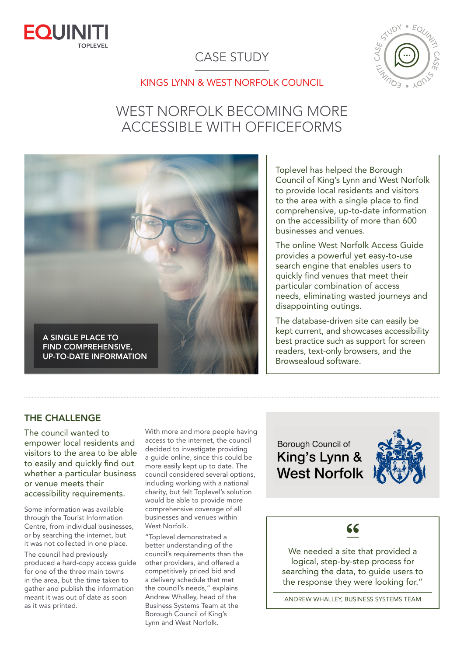

## CASE STUDY



#### KINGS LYNN & WEST NORFOLK COUNCIL

# WEST NORFOLK BECOMING MORE ACCESSIBLE WITH OFFICEFORMS

A SINGLE PLACE TO FIND COMPREHENSIVE, UP-TO-DATE INFORMATION

Toplevel has helped the Borough Council of King's Lynn and West Norfolk to provide local residents and visitors to the area with a single place to find comprehensive, up-to-date information on the accessibility of more than 600 businesses and venues.

The online West Norfolk Access Guide provides a powerful yet easy-to-use search engine that enables users to quickly find venues that meet their particular combination of access needs, eliminating wasted journeys and disappointing outings.

The database-driven site can easily be kept current, and showcases accessibility best practice such as support for screen readers, text-only browsers, and the Browsealoud software.

#### THE CHALLENGE

The council wanted to empower local residents and visitors to the area to be able to easily and quickly find out whether a particular business or venue meets their accessibility requirements.

Some information was available through the Tourist Information Centre, from individual businesses, or by searching the internet, but it was not collected in one place.

The council had previously produced a hard-copy access guide for one of the three main towns in the area, but the time taken to gather and publish the information meant it was out of date as soon as it was printed.

With more and more people having access to the internet, the council decided to investigate providing a guide online, since this could be more easily kept up to date. The council considered several options, including working with a national charity, but felt Toplevel's solution would be able to provide more comprehensive coverage of all businesses and venues within West Norfolk.

"Toplevel demonstrated a better understanding of the council's requirements than the other providers, and offered a competitively priced bid and a delivery schedule that met the council's needs," explains Andrew Whalley, head of the Business Systems Team at the Borough Council of King's Lynn and West Norfolk.

**Borough Council of** King's Lynn & **West Norfolk** 



### 66

We needed a site that provided a logical, step-by-step process for searching the data, to guide users to the response they were looking for."

ANDREW WHALLEY, BUSINESS SYSTEMS TEAM